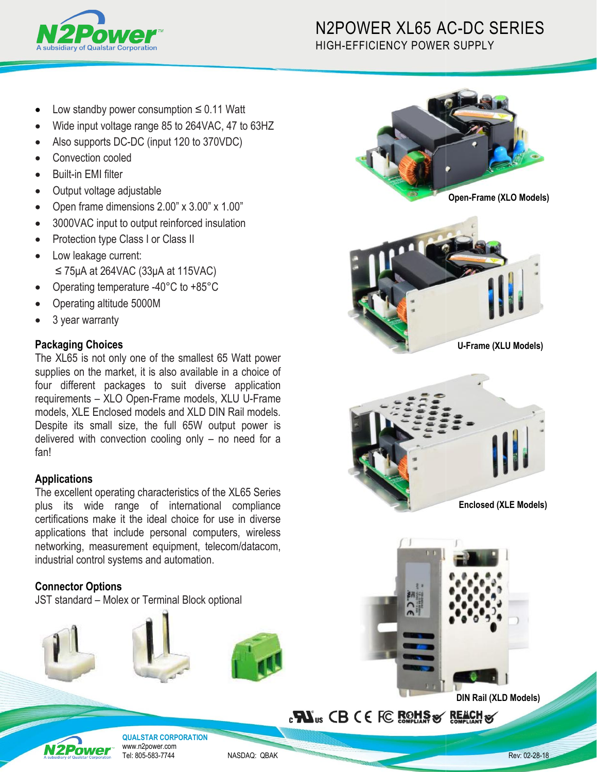

# N2POWER XL65 AC AC-DC SERIES HIGH-EFFICIENCY POWER R SUPPLY

- Low standby power consumption ≤ 0.11 Watt
- Wide input voltage range 85 to 264VAC, 47 to 63HZ
- Also supports DC-DC (input 120 to 370VDC)
- Convection cooled
- Built-in EMI filter
- Output voltage adjustable
- Open frame dimensions 2.00" x 3.00" x 1. 1.00"
- 3000VAC input to output reinforced insulation
- Protection type Class I or Class II
- Low leakage current:  $\leq$  75µA at 264VAC (33µA at 115VAC)
- Operating temperature -40°C to +85°C
- Operating altitude 5000M
- 3 year warranty

## **Packaging Choices**

The XL65 is not only one of the smallest 65 Watt power supplies on the market, it is also available in a choice of four different packages to suit diverse application requirements - XLO Open-Frame models, XLU U-Frame models, XLE Enclosed models and XLD DIN Rail models models. Despite its small size, the full 65W output power is delivered with convection cooling only – no need for a fan! Despite its small size, the full 65W output power is<br>delivered with convection cooling only – no need for a<br>fan!<br>**Applications**<br>The excellent operating characteristics of the XL65 Series

## **Applications**

plus its wide range of international compliance certifications make it the ideal choice for use in diverse applications that include personal computers, wireless networking, measurement equipment, telecom/datacom, industrial control systems and automation.

## **Connector Options**

JST standard – Molex or Terminal Block optional









# **PN**us CB CE FC ROHS & REACH &



**QUALSTAR CORPORATION** www.n2power.com Tel: 805-583-7744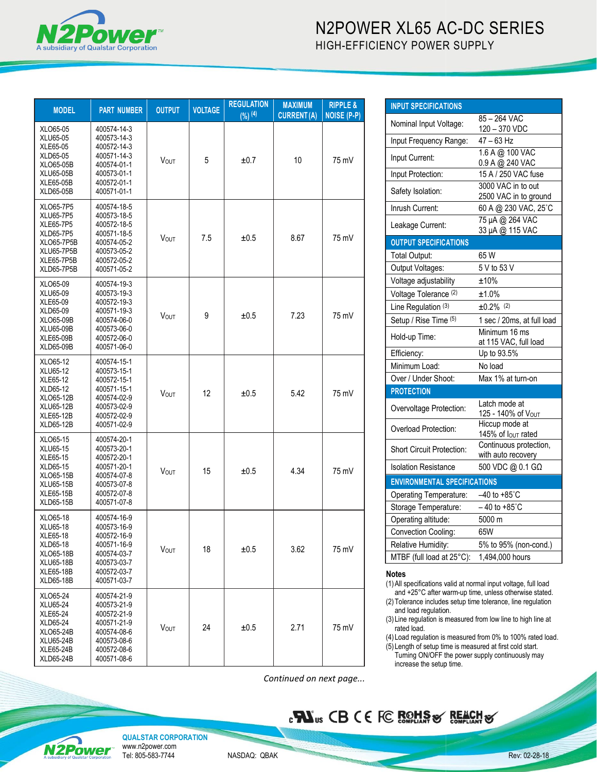

| <b>MODEL</b>                                                                                                           | <b>PART NUMBER</b>                                                                                                   | <b>OUTPUT</b> | <b>VOLTAGE</b> | <b>REGULATION</b><br>$(9/6)$ (4) | <b>MAXIMUM</b><br><b>CURRENT(A)</b> | <b>RIPPLE &amp;</b><br><b>NOISE (P-P)</b> |
|------------------------------------------------------------------------------------------------------------------------|----------------------------------------------------------------------------------------------------------------------|---------------|----------------|----------------------------------|-------------------------------------|-------------------------------------------|
| XLO65-05<br>XLU65-05<br>XLE65-05<br>XLD65-05<br>XLO65-05B<br>XLU65-05B<br>XLE65-05B<br>XLD65-05B                       | 400574-14-3<br>400573-14-3<br>400572-14-3<br>400571-14-3<br>400574-01-1<br>400573-01-1<br>400572-01-1<br>400571-01-1 | <b>VOUT</b>   | 5              | ±0.7                             | 10                                  | 75 mV                                     |
| XLO65-7P5<br>XLU65-7P5<br><b>XLE65-7P5</b><br>XLD65-7P5<br>XLO65-7P5B<br><b>XLU65-7P5B</b><br>XLE65-7P5B<br>XLD65-7P5B | 400574-18-5<br>400573-18-5<br>400572-18-5<br>400571-18-5<br>400574-05-2<br>400573-05-2<br>400572-05-2<br>400571-05-2 | <b>VOUT</b>   | 7.5            | ±0.5                             | 8.67                                | 75 mV                                     |
| XLO65-09<br>XLU65-09<br>XLE65-09<br>XLD65-09<br>XLO65-09B<br>XLU65-09B<br>XLE65-09B<br>XLD65-09B                       | 400574-19-3<br>400573-19-3<br>400572-19-3<br>400571-19-3<br>400574-06-0<br>400573-06-0<br>400572-06-0<br>400571-06-0 | <b>VOUT</b>   | 9              | ±0.5                             | 7.23                                | 75 mV                                     |
| XLO65-12<br>XLU65-12<br>XLE65-12<br>XLD65-12<br>XLO65-12B<br>XLU65-12B<br>XLE65-12B<br>XLD65-12B                       | 400574-15-1<br>400573-15-1<br>400572-15-1<br>400571-15-1<br>400574-02-9<br>400573-02-9<br>400572-02-9<br>400571-02-9 | <b>VOUT</b>   | 12             | ±0.5                             | 5.42                                | 75 mV                                     |
| XLO65-15<br>XLU65-15<br>XLE65-15<br>XLD65-15<br>XLO65-15B<br>XLU65-15B<br>XLE65-15B<br><b>XLD65-15B</b>                | 400574-20-1<br>400573-20-1<br>400572-20-1<br>400571-20-1<br>400574-07-8<br>400573-07-8<br>400572-07-8<br>400571-07-8 | <b>VOUT</b>   | 15             | ±0.5                             | 4.34                                | 75 mV                                     |
| XLO65-18<br>XLU65-18<br>XLE65-18<br>XLD65-18<br>XLO65-18B<br><b>XLU65-18B</b><br><b>XLE65-18B</b><br><b>XLD65-18B</b>  | 400574-16-9<br>400573-16-9<br>400572-16-9<br>400571-16-9<br>400574-03-7<br>400573-03-7<br>400572-03-7<br>400571-03-7 | <b>VOUT</b>   | 18             | ±0.5                             | 3.62                                | 75 mV                                     |
| XLO65-24<br>XLU65-24<br>XLE65-24<br>XLD65-24<br>XLO65-24B<br>XLU65-24B<br><b>XLE65-24B</b><br><b>XLD65-24B</b>         | 400574-21-9<br>400573-21-9<br>400572-21-9<br>400571-21-9<br>400574-08-6<br>400573-08-6<br>400572-08-6<br>400571-08-6 | <b>Vout</b>   | 24             | ±0.5                             | 2.71                                | 75 mV                                     |

| <b>INPUT SPECIFICATIONS</b>                                                                                                                                                                                                                                                                                                                                                                                                                                                                |                                              |  |  |  |
|--------------------------------------------------------------------------------------------------------------------------------------------------------------------------------------------------------------------------------------------------------------------------------------------------------------------------------------------------------------------------------------------------------------------------------------------------------------------------------------------|----------------------------------------------|--|--|--|
| Nominal Input Voltage:                                                                                                                                                                                                                                                                                                                                                                                                                                                                     | 85 – 264 VAC                                 |  |  |  |
| Input Frequency Range:                                                                                                                                                                                                                                                                                                                                                                                                                                                                     | 120 - 370 VDC<br>$47 - 63$ Hz                |  |  |  |
|                                                                                                                                                                                                                                                                                                                                                                                                                                                                                            | 1.6 A @ 100 VAC                              |  |  |  |
| Input Current:                                                                                                                                                                                                                                                                                                                                                                                                                                                                             | 0.9 A @ 240 VAC                              |  |  |  |
| Input Protection:                                                                                                                                                                                                                                                                                                                                                                                                                                                                          | 15 A / 250 VAC fuse                          |  |  |  |
| Safety Isolation:                                                                                                                                                                                                                                                                                                                                                                                                                                                                          | 3000 VAC in to out<br>2500 VAC in to ground  |  |  |  |
| Inrush Current:                                                                                                                                                                                                                                                                                                                                                                                                                                                                            | 60 A @ 230 VAC, 25°C                         |  |  |  |
| Leakage Current:                                                                                                                                                                                                                                                                                                                                                                                                                                                                           | 75 µA @ 264 VAC<br>33 µA @ 115 VAC           |  |  |  |
| <b>OUTPUT SPECIFICATIONS</b>                                                                                                                                                                                                                                                                                                                                                                                                                                                               |                                              |  |  |  |
| <b>Total Output:</b>                                                                                                                                                                                                                                                                                                                                                                                                                                                                       | 65 W                                         |  |  |  |
| Output Voltages:                                                                                                                                                                                                                                                                                                                                                                                                                                                                           | 5 V to 53 V                                  |  |  |  |
| Voltage adjustability                                                                                                                                                                                                                                                                                                                                                                                                                                                                      | $±10\%$                                      |  |  |  |
| Voltage Tolerance (2)                                                                                                                                                                                                                                                                                                                                                                                                                                                                      | ±1.0%                                        |  |  |  |
| Line Regulation (3)                                                                                                                                                                                                                                                                                                                                                                                                                                                                        | $±0.2\%$ <sup>(2)</sup>                      |  |  |  |
| Setup / Rise Time (5)                                                                                                                                                                                                                                                                                                                                                                                                                                                                      | 1 sec / 20ms, at full load                   |  |  |  |
| Hold-up Time:                                                                                                                                                                                                                                                                                                                                                                                                                                                                              | Minimum 16 ms<br>at 115 VAC, full load       |  |  |  |
| Efficiency:                                                                                                                                                                                                                                                                                                                                                                                                                                                                                | Up to 93.5%                                  |  |  |  |
| Minimum Load:                                                                                                                                                                                                                                                                                                                                                                                                                                                                              | No load                                      |  |  |  |
| Over / Under Shoot:                                                                                                                                                                                                                                                                                                                                                                                                                                                                        | Max 1% at turn-on                            |  |  |  |
| <b>PROTECTION</b>                                                                                                                                                                                                                                                                                                                                                                                                                                                                          |                                              |  |  |  |
| Overvoltage Protection:                                                                                                                                                                                                                                                                                                                                                                                                                                                                    | Latch mode at<br>125 - 140% of Vout          |  |  |  |
| Overload Protection:                                                                                                                                                                                                                                                                                                                                                                                                                                                                       | Hiccup mode at<br>145% of lout rated         |  |  |  |
| <b>Short Circuit Protection:</b>                                                                                                                                                                                                                                                                                                                                                                                                                                                           | Continuous protection,<br>with auto recovery |  |  |  |
| <b>Isolation Resistance</b>                                                                                                                                                                                                                                                                                                                                                                                                                                                                | 500 VDC @ 0.1 GΩ                             |  |  |  |
| <b>ENVIRONMENTAL SPECIFICATIONS</b>                                                                                                                                                                                                                                                                                                                                                                                                                                                        |                                              |  |  |  |
| Operating Temperature:                                                                                                                                                                                                                                                                                                                                                                                                                                                                     | $-40$ to $+85^{\circ}$ C                     |  |  |  |
| Storage Temperature:                                                                                                                                                                                                                                                                                                                                                                                                                                                                       | $-40$ to $+85^{\circ}$ C                     |  |  |  |
| Operating altitude:                                                                                                                                                                                                                                                                                                                                                                                                                                                                        | 5000 m                                       |  |  |  |
| <b>Convection Cooling:</b>                                                                                                                                                                                                                                                                                                                                                                                                                                                                 | 65W                                          |  |  |  |
| Relative Humidity:                                                                                                                                                                                                                                                                                                                                                                                                                                                                         | 5% to 95% (non-cond.)                        |  |  |  |
| MTBF (full load at 25°C):                                                                                                                                                                                                                                                                                                                                                                                                                                                                  | 1,494,000 hours                              |  |  |  |
| Notes<br>(1) All specifications valid at normal input voltage, full load<br>and +25°C after warm-up time, unless otherwise stated.<br>(2) Tolerance includes setup time tolerance, line regulation<br>and load regulation.<br>(3) Line regulation is measured from low line to high line at<br>rated load.<br>(4) Load regulation is measured from 0% to 100% rated load.<br>(5) Length of setup time is measured at first cold start.<br>Turning ON/OFF the power supply continuously may |                                              |  |  |  |

#### **Notes**

**PN**us CB CE FC ROHS & REACH &

(4) Load regulation is measured from 0% to 100% rated load. (5) Length of setup time is measured at first cold start. Turning ON/OFF the power supply continuously may increase the setup time.

*Continued on next page...*



**QUALSTAR CORPORATION** www.n2power.com Tel: 805-583-7744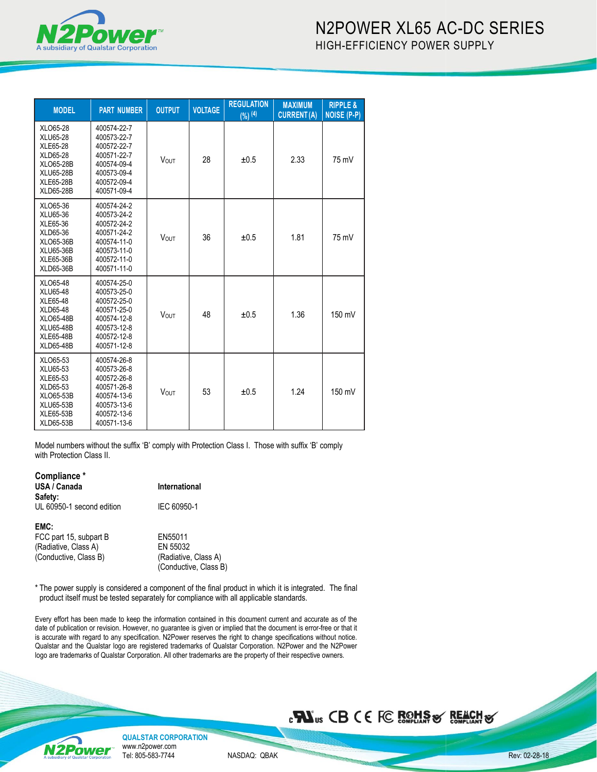

| <b>MODEL</b>                                                                                                                               | <b>PART NUMBER</b>                                                                                                   | <b>OUTPUT</b> | <b>VOLTAGE</b> | <b>REGULATION</b><br>(%) <sup>(4)</sup> | <b>MAXIMUM</b><br><b>CURRENT(A)</b> | <b>RIPPLE &amp;</b><br><b>NOISE (P-P)</b> |
|--------------------------------------------------------------------------------------------------------------------------------------------|----------------------------------------------------------------------------------------------------------------------|---------------|----------------|-----------------------------------------|-------------------------------------|-------------------------------------------|
| XLO65-28<br>XLU65-28<br>XLE65-28<br>XLD65-28<br>XLO65-28B<br><b>XLU65-28B</b><br><b>XLE65-28B</b><br><b>XLD65-28B</b>                      | 400574-22-7<br>400573-22-7<br>400572-22-7<br>400571-22-7<br>400574-09-4<br>400573-09-4<br>400572-09-4<br>400571-09-4 | <b>VOUT</b>   | 28             | ±0.5                                    | 2.33                                | 75 mV                                     |
| XLO65-36<br>XLU65-36<br>XLE65-36<br>XLD65-36<br>XLO65-36B<br><b>XLU65-36B</b><br>XLE65-36B<br>XLD65-36B                                    | 400574-24-2<br>400573-24-2<br>400572-24-2<br>400571-24-2<br>400574-11-0<br>400573-11-0<br>400572-11-0<br>400571-11-0 | <b>VOUT</b>   | 36             | ±0.5                                    | 1.81                                | 75 mV                                     |
| XLO65-48<br><b>XLU65-48</b><br>XLE65-48<br><b>XLD65-48</b><br><b>XLO65-48B</b><br><b>XLU65-48B</b><br><b>XLE65-48B</b><br><b>XLD65-48B</b> | 400574-25-0<br>400573-25-0<br>400572-25-0<br>400571-25-0<br>400574-12-8<br>400573-12-8<br>400572-12-8<br>400571-12-8 | <b>VOUT</b>   | 48             | ±0.5                                    | 1.36                                | 150 mV                                    |
| XLO65-53<br>XLU65-53<br>XLE65-53<br>XLD65-53<br>XLO65-53B<br><b>XLU65-53B</b><br>XLE65-53B<br>XLD65-53B                                    | 400574-26-8<br>400573-26-8<br>400572-26-8<br>400571-26-8<br>400574-13-6<br>400573-13-6<br>400572-13-6<br>400571-13-6 | <b>VOUT</b>   | 53             | ±0.5                                    | 1.24                                | 150 mV                                    |

Model numbers without the suffix 'B' comply with Protection Class I. Those with suffix 'B' comply with Protection Class II.

#### **Compliance \* USA / Canada International Safety:** UL 60950-1 second edition IEC 60950-1

**EMC:** FCC part 15, subpart B<br>
(Radiative, Class A) EN 55032  $(Conductive, Class B)$ 

(Radiative, Class A) EN 55032<br>(Conductive, Class B) (Radiative, Class A) (Conductive, Class B)

\* The power supply is considered a component of the final product in which it is integrated. The final product itself must be tested separately for compliance with all applicable standards.

Every effort has been made to keep the information contained in this document current and accurate as of the date of publication or revision. However, no guarantee is given or implied that the document is error-free or that it is accurate with regard to any specification. N2Power reserves the right to change specifications without notice. Qualstar and the Qualstar logo are registered trademarks of Qualstar Corporation. N2Power and the N2Power logo are trademarks of Qualstar Corporation. All other trademarks are the property of their respective owners.

# **BU**<sub>us</sub> CB CE FC ROHS & REACH &



**QUALSTAR CORPORATION** www.n2power.com Tel: 805-583-7744

NASDAQ: QBAK

a dhe ann ann an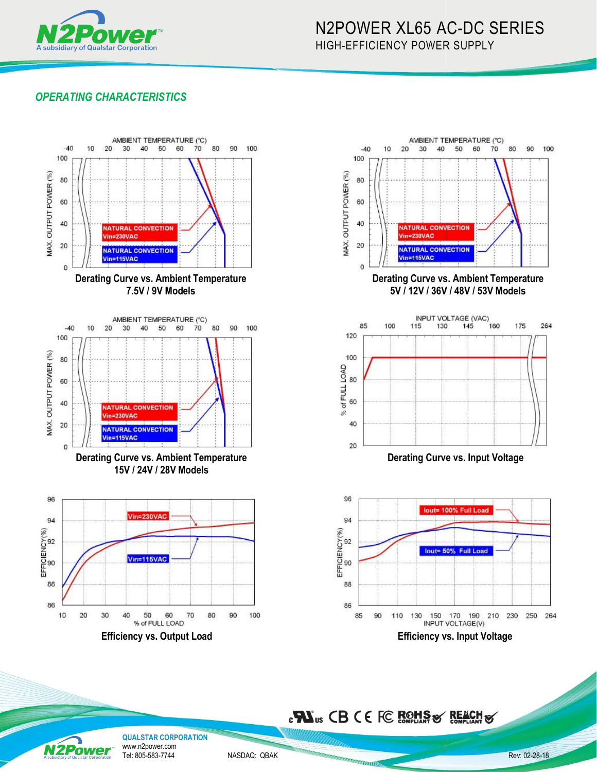

# N2POWER XL65 AC AC-DC SERIES HIGH-EFFICIENCY POWER R SUPPLY

## *OPERATING CHARACTERISTICS*





 **Derating Curve vs. Ambient Temperature 5V / 12V / 36V / 48V / 53V Models**



**Derating Curve vs.** 





**QUALSTAR CORPORATION** www.n2power.com **N2Power** Tel: 805-583-7744